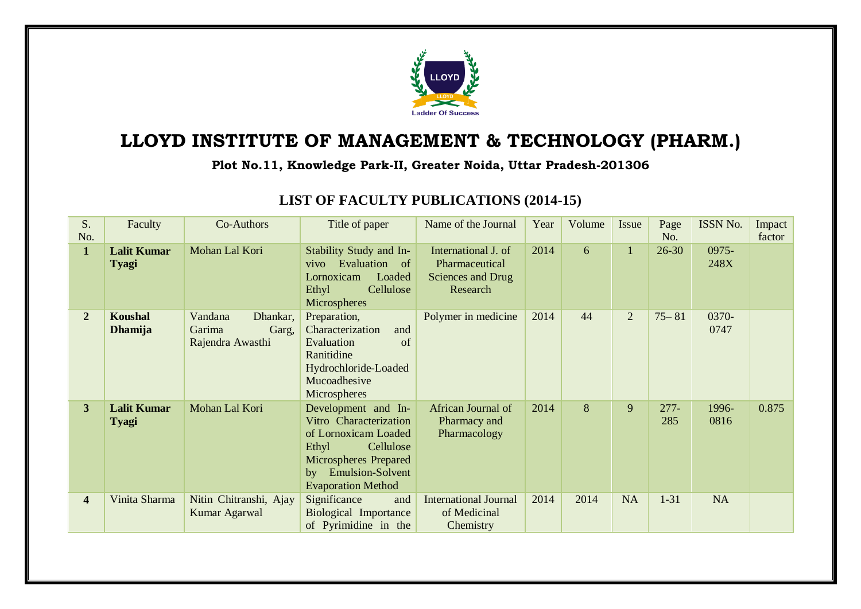

## **LLOYD INSTITUTE OF MANAGEMENT & TECHNOLOGY (PHARM.)**

## **Plot No.11, Knowledge Park-II, Greater Noida, Uttar Pradesh-201306**

| S.<br>No.      | Faculty                            | Co-Authors                                                 | Title of paper                                                                                                                                                                  | Name of the Journal                                                    | Year | Volume | Issue          | Page<br>No.    | ISSN No.         | Impact<br>factor |
|----------------|------------------------------------|------------------------------------------------------------|---------------------------------------------------------------------------------------------------------------------------------------------------------------------------------|------------------------------------------------------------------------|------|--------|----------------|----------------|------------------|------------------|
| $\mathbf{1}$   | <b>Lalit Kumar</b><br><b>Tyagi</b> | Mohan Lal Kori                                             | Stability Study and In-<br>vivo Evaluation of<br>Lornoxicam<br>Loaded<br>Cellulose<br>Ethyl<br>Microspheres                                                                     | International J. of<br>Pharmaceutical<br>Sciences and Drug<br>Research | 2014 | 6      | 1              | $26 - 30$      | $0975 -$<br>248X |                  |
| $\overline{2}$ | Koushal<br><b>Dhamija</b>          | Vandana<br>Dhankar,<br>Garima<br>Garg,<br>Rajendra Awasthi | Preparation,<br>Characterization<br>and<br>Evaluation<br>of<br>Ranitidine<br>Hydrochloride-Loaded<br>Mucoadhesive<br>Microspheres                                               | Polymer in medicine                                                    | 2014 | 44     | $\overline{2}$ | $75 - 81$      | 0370-<br>0747    |                  |
| 3 <sup>1</sup> | <b>Lalit Kumar</b><br><b>Tyagi</b> | Mohan Lal Kori                                             | Development and In-<br>Vitro Characterization<br>of Lornoxicam Loaded<br>Cellulose<br>Ethyl<br><b>Microspheres Prepared</b><br>by Emulsion-Solvent<br><b>Evaporation Method</b> | African Journal of<br>Pharmacy and<br>Pharmacology                     | 2014 | 8      | 9              | $277 -$<br>285 | 1996-<br>0816    | 0.875            |
| 4              | Vinita Sharma                      | Nitin Chitranshi, Ajay<br>Kumar Agarwal                    | Significance<br>and<br><b>Biological Importance</b><br>of Pyrimidine in the                                                                                                     | <b>International Journal</b><br>of Medicinal<br>Chemistry              | 2014 | 2014   | <b>NA</b>      | $1 - 31$       | <b>NA</b>        |                  |

## **LIST OF FACULTY PUBLICATIONS (2014-15)**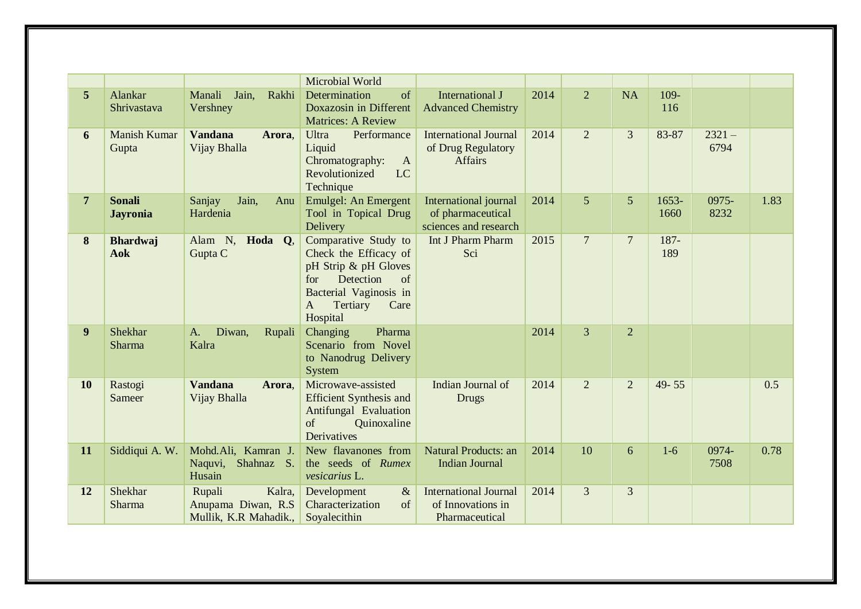|                |                                  |                                                                  | Microbial World                                                                                                                                                           |                                                                      |      |                |                |                 |                  |      |
|----------------|----------------------------------|------------------------------------------------------------------|---------------------------------------------------------------------------------------------------------------------------------------------------------------------------|----------------------------------------------------------------------|------|----------------|----------------|-----------------|------------------|------|
| 5              | Alankar<br>Shrivastava           | Manali<br>Jain,<br>Rakhi<br>Vershney                             | of<br>Determination<br>Doxazosin in Different<br><b>Matrices: A Review</b>                                                                                                | <b>International J</b><br><b>Advanced Chemistry</b>                  | 2014 | $\overline{2}$ | <b>NA</b>      | 109-<br>116     |                  |      |
| 6              | <b>Manish Kumar</b><br>Gupta     | <b>Vandana</b><br>Arora,<br>Vijay Bhalla                         | <b>Ultra</b><br>Performance<br>Liquid<br>Chromatography:<br>$\mathbf{A}$<br>Revolutionized<br>LC<br>Technique                                                             | <b>International Journal</b><br>of Drug Regulatory<br><b>Affairs</b> | 2014 | $\overline{2}$ | 3              | 83-87           | $2321 -$<br>6794 |      |
| $\overline{7}$ | <b>Sonali</b><br><b>Jayronia</b> | Jain,<br>Sanjay<br>Anu<br>Hardenia                               | Emulgel: An Emergent<br>Tool in Topical Drug<br>Delivery                                                                                                                  | International journal<br>of pharmaceutical<br>sciences and research  | 2014 | 5 <sup>5</sup> | 5 <sup>5</sup> | $1653-$<br>1660 | 0975-<br>8232    | 1.83 |
| 8              | <b>Bhardwaj</b><br><b>Aok</b>    | Alam N, Hoda Q,<br>Gupta C                                       | Comparative Study to<br>Check the Efficacy of<br>pH Strip & pH Gloves<br>Detection<br>of<br>for<br>Bacterial Vaginosis in<br>Tertiary<br>$\mathbf{A}$<br>Care<br>Hospital | Int J Pharm Pharm<br>Sci                                             | 2015 | $\overline{7}$ | $\overline{7}$ | 187-<br>189     |                  |      |
| 9              | Shekhar<br><b>Sharma</b>         | Diwan,<br>Rupali<br>A.<br>Kalra                                  | Pharma<br>Changing<br>Scenario from Novel<br>to Nanodrug Delivery<br>System                                                                                               |                                                                      | 2014 | 3              | $\overline{2}$ |                 |                  |      |
| <b>10</b>      | Rastogi<br>Sameer                | <b>Vandana</b><br>Arora,<br>Vijay Bhalla                         | Microwave-assisted<br><b>Efficient Synthesis and</b><br>Antifungal Evaluation<br>of<br>Quinoxaline<br>Derivatives                                                         | Indian Journal of<br><b>Drugs</b>                                    | 2014 | $\overline{2}$ | $\overline{2}$ | 49-55           |                  | 0.5  |
| 11             | Siddiqui A. W.                   | Mohd.Ali, Kamran J.<br>Naquvi, Shahnaz S.<br>Husain              | New flavanones from<br>the seeds of Rumex<br>vesicarius L.                                                                                                                | <b>Natural Products: an</b><br><b>Indian Journal</b>                 | 2014 | 10             | 6              | $1-6$           | 0974-<br>7508    | 0.78 |
| 12             | Shekhar<br>Sharma                | Kalra,<br>Rupali<br>Anupama Diwan, R.S.<br>Mullik, K.R Mahadik., | Development<br>$\&$<br>Characterization<br>of<br>Soyalecithin                                                                                                             | <b>International Journal</b><br>of Innovations in<br>Pharmaceutical  | 2014 | $\overline{3}$ | $\overline{3}$ |                 |                  |      |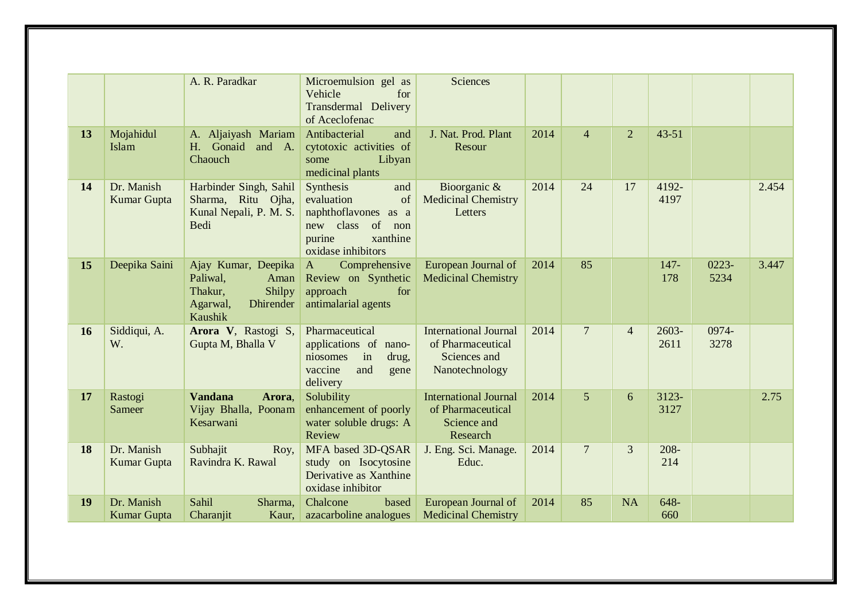|    |                                  | A. R. Paradkar                                                                                          | Microemulsion gel as<br>Vehicle<br>for<br>Transdermal Delivery<br>of Aceclofenac                                                   | Sciences                                                                            |      |                |                |                  |                  |       |
|----|----------------------------------|---------------------------------------------------------------------------------------------------------|------------------------------------------------------------------------------------------------------------------------------------|-------------------------------------------------------------------------------------|------|----------------|----------------|------------------|------------------|-------|
| 13 | Mojahidul<br>Islam               | A. Aljaiyash Mariam<br>H. Gonaid<br>and A.<br>Chaouch                                                   | Antibacterial<br>and<br>cytotoxic activities of<br>Libyan<br>some<br>medicinal plants                                              | J. Nat. Prod. Plant<br>Resour                                                       | 2014 | $\overline{4}$ | $\overline{2}$ | $43 - 51$        |                  |       |
| 14 | Dr. Manish<br><b>Kumar Gupta</b> | Harbinder Singh, Sahil<br>Sharma, Ritu Ojha,<br>Kunal Nepali, P. M. S.<br>Bedi                          | Synthesis<br>and<br>of<br>evaluation<br>naphthoflavones as a<br>of<br>new class<br>non<br>purine<br>xanthine<br>oxidase inhibitors | Bioorganic &<br><b>Medicinal Chemistry</b><br>Letters                               | 2014 | 24             | 17             | 4192-<br>4197    |                  | 2.454 |
| 15 | Deepika Saini                    | Ajay Kumar, Deepika<br>Paliwal,<br>Aman<br>Thakur,<br>Shilpy<br>Dhirender<br>Agarwal,<br><b>Kaushik</b> | Comprehensive<br>$\mathbf{A}$<br>Review on Synthetic<br>approach<br>for<br>antimalarial agents                                     | European Journal of<br><b>Medicinal Chemistry</b>                                   | 2014 | 85             |                | $147 -$<br>178   | $0223 -$<br>5234 | 3.447 |
| 16 | Siddiqui, A.<br>W.               | Arora V, Rastogi S,<br>Gupta M, Bhalla V                                                                | Pharmaceutical<br>applications of nano-<br>niosomes<br>in<br>drug,<br>vaccine<br>and<br>gene<br>delivery                           | <b>International Journal</b><br>of Pharmaceutical<br>Sciences and<br>Nanotechnology | 2014 | $\overline{7}$ | $\overline{4}$ | $2603 -$<br>2611 | 0974-<br>3278    |       |
| 17 | Rastogi<br>Sameer                | <b>Vandana</b><br>Arora,<br>Vijay Bhalla, Poonam<br>Kesarwani                                           | Solubility<br>enhancement of poorly<br>water soluble drugs: A<br>Review                                                            | <b>International Journal</b><br>of Pharmaceutical<br>Science and<br>Research        | 2014 | $\overline{5}$ | 6              | 3123-<br>3127    |                  | 2.75  |
| 18 | Dr. Manish<br><b>Kumar Gupta</b> | Subhajit<br>Roy,<br>Ravindra K. Rawal                                                                   | MFA based 3D-QSAR<br>study on Isocytosine<br>Derivative as Xanthine<br>oxidase inhibitor                                           | J. Eng. Sci. Manage.<br>Educ.                                                       | 2014 | $\overline{7}$ | 3              | $208 -$<br>214   |                  |       |
| 19 | Dr. Manish<br>Kumar Gupta        | Sahil<br>Sharma,<br>Charanjit<br>Kaur,                                                                  | Chalcone<br>based<br>azacarboline analogues                                                                                        | European Journal of<br><b>Medicinal Chemistry</b>                                   | 2014 | 85             | <b>NA</b>      | 648-<br>660      |                  |       |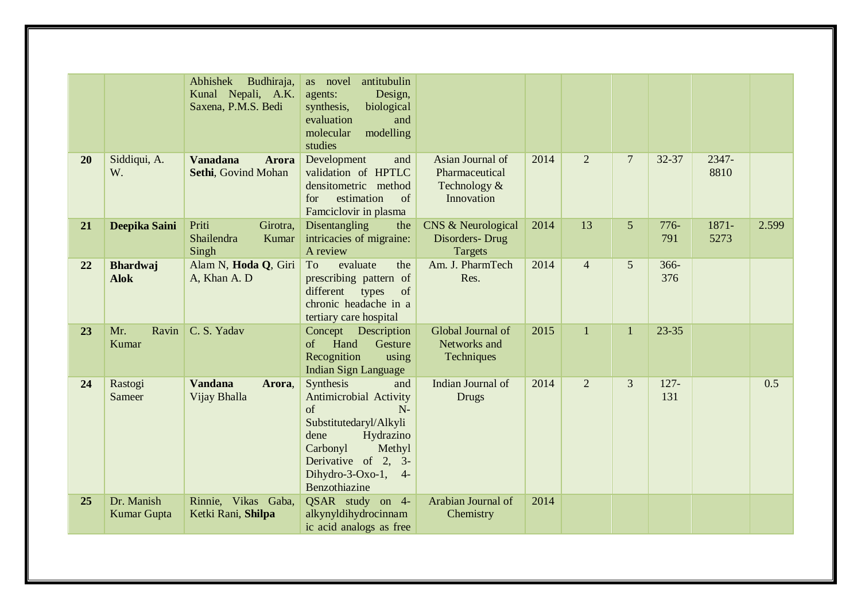|    |                                  | Abhishek<br>Budhiraja,<br>Kunal Nepali, A.K.<br>Saxena, P.M.S. Bedi | antitubulin<br>as novel<br>Design,<br>agents:<br>synthesis,<br>biological<br>evaluation<br>and<br>modelling<br>molecular<br>studies                                                                   |                                                                  |      |                |                |                |               |       |
|----|----------------------------------|---------------------------------------------------------------------|-------------------------------------------------------------------------------------------------------------------------------------------------------------------------------------------------------|------------------------------------------------------------------|------|----------------|----------------|----------------|---------------|-------|
| 20 | Siddiqui, A.<br>W.               | <b>Vanadana</b><br><b>Arora</b><br>Sethi, Govind Mohan              | Development<br>and<br>validation of HPTLC<br>densitometric method<br>estimation<br>of<br>for<br>Famciclovir in plasma                                                                                 | Asian Journal of<br>Pharmaceutical<br>Technology &<br>Innovation | 2014 | 2              | $\overline{7}$ | 32-37          | 2347-<br>8810 |       |
| 21 | Deepika Saini                    | Priti<br>Girotra,<br>Shailendra<br>Kumar<br>Singh                   | Disentangling<br>the<br>intricacies of migraine:<br>A review                                                                                                                                          | CNS & Neurological<br>Disorders-Drug<br><b>Targets</b>           | 2014 | 13             | 5              | $776-$<br>791  | 1871-<br>5273 | 2.599 |
| 22 | <b>Bhardwaj</b><br><b>Alok</b>   | Alam N, Hoda Q, Giri<br>A, Khan A. D                                | To<br>evaluate<br>the<br>prescribing pattern of<br>of<br>different<br>types<br>chronic headache in a<br>tertiary care hospital                                                                        | Am. J. PharmTech<br>Res.                                         | 2014 | $\overline{4}$ | 5              | $366 -$<br>376 |               |       |
| 23 | Ravin<br>Mr.<br>Kumar            | C. S. Yadav                                                         | Concept Description<br>Hand<br>Gesture<br>of<br>Recognition<br>using<br><b>Indian Sign Language</b>                                                                                                   | Global Journal of<br>Networks and<br>Techniques                  | 2015 | $\mathbf{1}$   | $\mathbf{1}$   | $23 - 35$      |               |       |
| 24 | Rastogi<br>Sameer                | <b>Vandana</b><br>Arora,<br>Vijay Bhalla                            | Synthesis<br>and<br>Antimicrobial Activity<br>of<br>$N-$<br>Substitutedaryl/Alkyli<br>Hydrazino<br>dene<br>Methyl<br>Carbonyl<br>Derivative of 2, 3-<br>Dihydro- $3$ -Oxo-1,<br>$4-$<br>Benzothiazine | Indian Journal of<br><b>Drugs</b>                                | 2014 | $\overline{2}$ | 3              | $127 -$<br>131 |               | 0.5   |
| 25 | Dr. Manish<br><b>Kumar Gupta</b> | Rinnie, Vikas Gaba,<br>Ketki Rani, Shilpa                           | QSAR study on 4-<br>alkynyldihydrocinnam<br>ic acid analogs as free                                                                                                                                   | Arabian Journal of<br>Chemistry                                  | 2014 |                |                |                |               |       |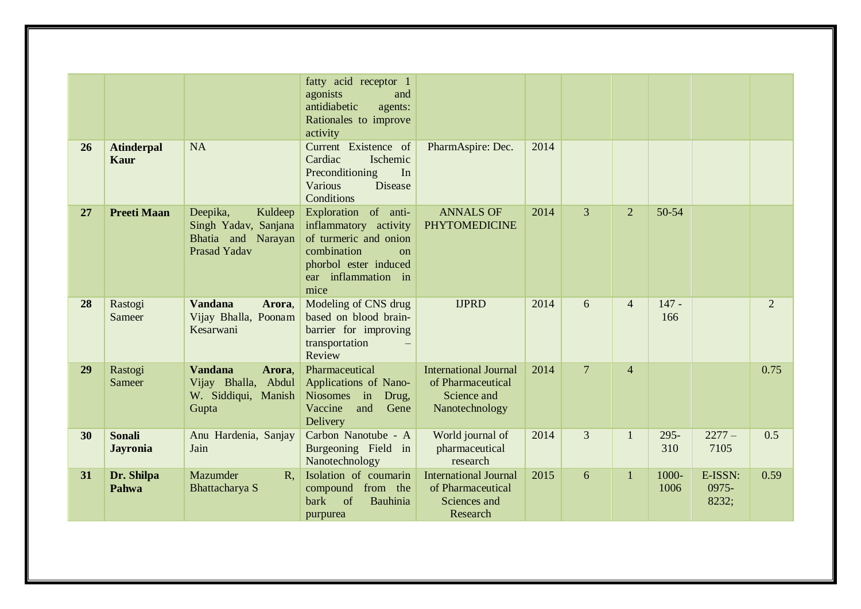| 26 | <b>Atinderpal</b>                | <b>NA</b>                                                                                | fatty acid receptor 1<br>agonists<br>and<br>antidiabetic<br>agents:<br>Rationales to improve<br>activity<br>Current Existence of                             | PharmAspire: Dec.                                                                  | 2014 |                |                |                |                           |                |
|----|----------------------------------|------------------------------------------------------------------------------------------|--------------------------------------------------------------------------------------------------------------------------------------------------------------|------------------------------------------------------------------------------------|------|----------------|----------------|----------------|---------------------------|----------------|
|    | Kaur                             |                                                                                          | Cardiac<br>Ischemic<br>Preconditioning<br>In<br><b>Various</b><br><b>Disease</b><br>Conditions                                                               |                                                                                    |      |                |                |                |                           |                |
| 27 | <b>Preeti Maan</b>               | Kuldeep<br>Deepika,<br>Singh Yadav, Sanjana<br>Bhatia and Narayan<br><b>Prasad Yadav</b> | Exploration<br>of anti-<br>inflammatory activity<br>of turmeric and onion<br>combination<br>$\Omega$<br>phorbol ester induced<br>ear inflammation in<br>mice | <b>ANNALS OF</b><br><b>PHYTOMEDICINE</b>                                           | 2014 | $\overline{3}$ | $\overline{2}$ | 50-54          |                           |                |
| 28 | Rastogi<br>Sameer                | <b>Vandana</b><br>Arora,<br>Vijay Bhalla, Poonam<br>Kesarwani                            | Modeling of CNS drug<br>based on blood brain-<br>barrier for improving<br>transportation<br>Review                                                           | <b>IJPRD</b>                                                                       | 2014 | 6              | $\overline{4}$ | $147 -$<br>166 |                           | $\overline{2}$ |
| 29 | Rastogi<br>Sameer                | <b>Vandana</b><br>Arora.<br>Vijay Bhalla, Abdul<br>W. Siddiqui, Manish<br>Gupta          | Pharmaceutical<br>Applications of Nano-<br>Niosomes in Drug,<br>and<br>Gene<br>Vaccine<br>Delivery                                                           | <b>International Journal</b><br>of Pharmaceutical<br>Science and<br>Nanotechnology | 2014 | $\overline{7}$ | $\overline{4}$ |                |                           | 0.75           |
| 30 | <b>Sonali</b><br><b>Jayronia</b> | Anu Hardenia, Sanjay<br>Jain                                                             | Carbon Nanotube - A<br>Burgeoning Field in<br>Nanotechnology                                                                                                 | World journal of<br>pharmaceutical<br>research                                     | 2014 | 3              | $\mathbf{1}$   | $295 -$<br>310 | $2277-$<br>7105           | 0.5            |
| 31 | Dr. Shilpa<br>Pahwa              | Mazumder<br>$R_{\cdot}$<br>Bhattacharya S                                                | Isolation of coumarin<br>compound<br>from the<br>of<br><b>bark</b><br>Bauhinia<br>purpurea                                                                   | <b>International Journal</b><br>of Pharmaceutical<br>Sciences and<br>Research      | 2015 | 6              | $\mathbf{1}$   | 1000-<br>1006  | E-ISSN:<br>0975-<br>8232; | 0.59           |